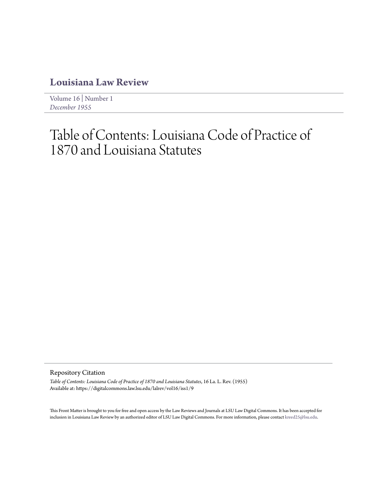## **[Louisiana Law Review](https://digitalcommons.law.lsu.edu/lalrev)**

[Volume 16](https://digitalcommons.law.lsu.edu/lalrev/vol16) | [Number 1](https://digitalcommons.law.lsu.edu/lalrev/vol16/iss1) *[December 1955](https://digitalcommons.law.lsu.edu/lalrev/vol16/iss1)*

## Table of Contents: Louisiana Code of Practice of 1870 and Louisiana Statutes

Repository Citation

*Table of Contents: Louisiana Code of Practice of 1870 and Louisiana Statutes*, 16 La. L. Rev. (1955) Available at: https://digitalcommons.law.lsu.edu/lalrev/vol16/iss1/9

This Front Matter is brought to you for free and open access by the Law Reviews and Journals at LSU Law Digital Commons. It has been accepted for inclusion in Louisiana Law Review by an authorized editor of LSU Law Digital Commons. For more information, please contact [kreed25@lsu.edu](mailto:kreed25@lsu.edu).